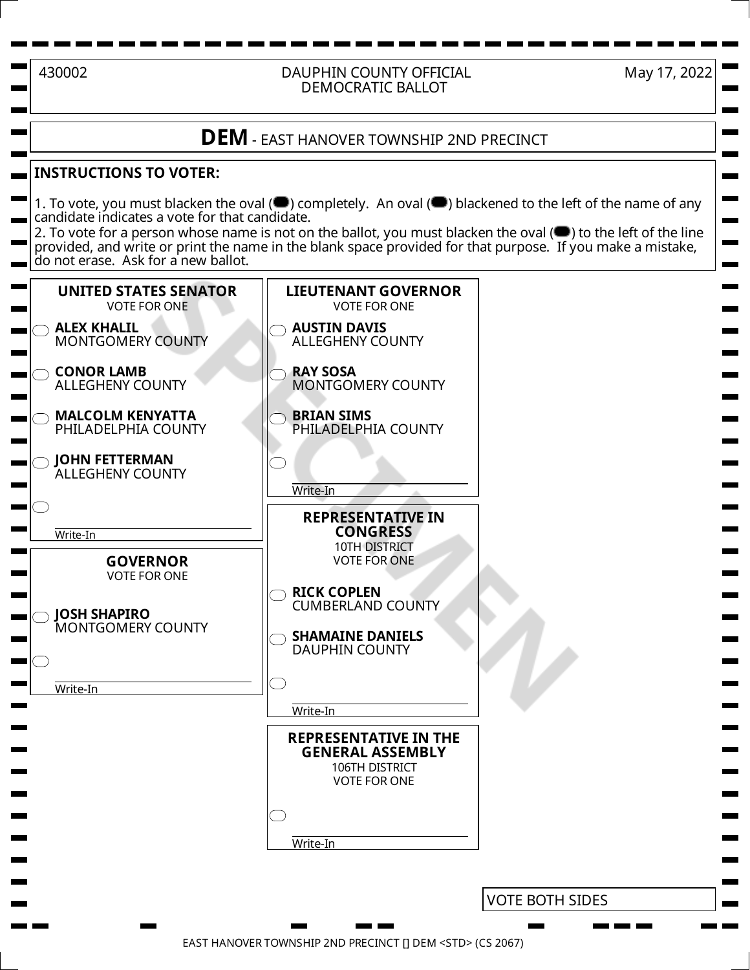## 430002 DAUPHIN COUNTY OFFICIAL DEMOCRATIC BALLOT

May 17, 2022

## **DEM** - EAST HANOVER TOWNSHIP 2ND PRECINCT

## **INSTRUCTIONS TO VOTER:**

1. To vote, you must blacken the oval  $(\blacksquare)$  completely. An oval  $(\blacksquare)$  blackened to the left of the name of any candidate indicates a vote for that candidate.

2. To vote for a person whose name is not on the ballot, you must blacken the oval  $(\bullet)$  to the left of the line provided, and write or print the name in the blank space provided for that purpose. If you make a mistake, do not erase. Ask for a new ballot.



VOTE BOTH SIDES